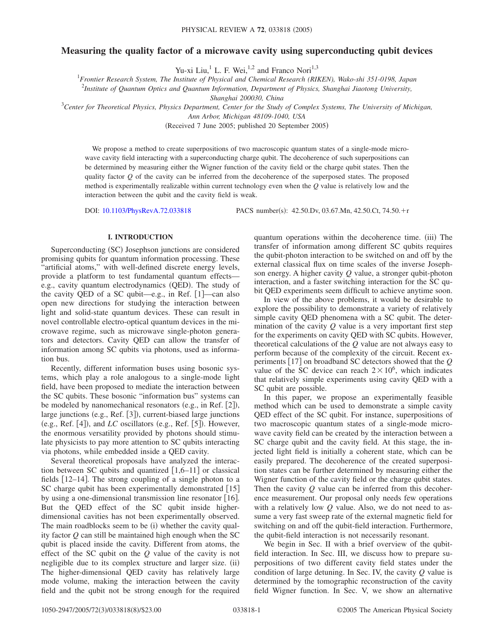# **Measuring the quality factor of a microwave cavity using superconducting qubit devices**

Yu-xi Liu,<sup>1</sup> L. F. Wei,<sup>1,2</sup> and Franco Nori<sup>1,3</sup>

1 *Frontier Research System, The Institute of Physical and Chemical Research (RIKEN), Wako-shi 351-0198, Japan*

2 *Institute of Quantum Optics and Quantum Information, Department of Physics, Shanghai Jiaotong University,*

*Shanghai 200030, China*

3 *Center for Theoretical Physics, Physics Department, Center for the Study of Complex Systems, The University of Michigan,*

*Ann Arbor, Michigan 48109-1040, USA*

(Received 7 June 2005; published 20 September 2005)

We propose a method to create superpositions of two macroscopic quantum states of a single-mode microwave cavity field interacting with a superconducting charge qubit. The decoherence of such superpositions can be determined by measuring either the Wigner function of the cavity field or the charge qubit states. Then the quality factor *Q* of the cavity can be inferred from the decoherence of the superposed states. The proposed method is experimentally realizable within current technology even when the *Q* value is relatively low and the interaction between the qubit and the cavity field is weak.

DOI: [10.1103/PhysRevA.72.033818](http://dx.doi.org/10.1103/PhysRevA.72.033818)

PACS number(s): 42.50.Dv, 03.67.Mn, 42.50.Ct, 74.50.+r

## **I. INTRODUCTION**

Superconducting (SC) Josephson junctions are considered promising qubits for quantum information processing. These "artificial atoms," with well-defined discrete energy levels, provide a platform to test fundamental quantum effects e.g., cavity quantum electrodynamics (QED). The study of the cavity QED of a SC qubit—e.g., in Ref.  $[1]$ —can also open new directions for studying the interaction between light and solid-state quantum devices. These can result in novel controllable electro-optical quantum devices in the microwave regime, such as microwave single-photon generators and detectors. Cavity QED can allow the transfer of information among SC qubits via photons, used as information bus.

Recently, different information buses using bosonic systems, which play a role analogous to a single-mode light field, have been proposed to mediate the interaction between the SC qubits. These bosonic "information bus" systems can be modeled by nanomechanical resonators (e.g., in Ref. [2]), large junctions (e.g., Ref. [3]), current-biased large junctions (e.g., Ref.  $[4]$ ), and *LC* oscillators (e.g., Ref.  $[5]$ ). However, the enormous versatility provided by photons should stimulate physicists to pay more attention to SC qubits interacting via photons, while embedded inside a QED cavity.

Several theoretical proposals have analyzed the interaction between SC qubits and quantized  $\lceil 1, 6-11 \rceil$  or classical fields 12–14. The strong coupling of a single photon to a SC charge qubit has been experimentally demonstrated [15] by using a one-dimensional transmission line resonator  $[16]$ . But the QED effect of the SC qubit inside higherdimensional cavities has not been experimentally observed. The main roadblocks seem to be (i) whether the cavity quality factor *Q* can still be maintained high enough when the SC qubit is placed inside the cavity. Different from atoms, the effect of the SC qubit on the *Q* value of the cavity is not negligible due to its complex structure and larger size. (ii) The higher-dimensional QED cavity has relatively large mode volume, making the interaction between the cavity field and the qubit not be strong enough for the required

quantum operations within the decoherence time. (iii) The transfer of information among different SC qubits requires the qubit-photon interaction to be switched on and off by the external classical flux on time scales of the inverse Josephson energy. A higher cavity *Q* value, a stronger qubit-photon interaction, and a faster switching interaction for the SC qubit QED experiments seem difficult to achieve anytime soon.

In view of the above problems, it would be desirable to explore the possibility to demonstrate a variety of relatively simple cavity QED phenomena with a SC qubit. The determination of the cavity *Q* value is a very important first step for the experiments on cavity QED with SC qubits. However, theoretical calculations of the *Q* value are not always easy to perform because of the complexity of the circuit. Recent experiments [17] on broadband SC detectors showed that the *Q* value of the SC device can reach  $2 \times 10^6$ , which indicates that relatively simple experiments using cavity QED with a SC qubit are possible.

In this paper, we propose an experimentally feasible method which can be used to demonstrate a simple cavity QED effect of the SC qubit. For instance, superpositions of two macroscopic quantum states of a single-mode microwave cavity field can be created by the interaction between a SC charge qubit and the cavity field. At this stage, the injected light field is initially a coherent state, which can be easily prepared. The decoherence of the created superposition states can be further determined by measuring either the Wigner function of the cavity field or the charge qubit states. Then the cavity *Q* value can be inferred from this decoherence measurement. Our proposal only needs few operations with a relatively low *Q* value. Also, we do not need to assume a very fast sweep rate of the external magnetic field for switching on and off the qubit-field interaction. Furthermore, the qubit-field interaction is not necessarily resonant.

We begin in Sec. II with a brief overview of the qubitfield interaction. In Sec. III, we discuss how to prepare superpositions of two different cavity field states under the condition of large detuning. In Sec. IV, the cavity *Q* value is determined by the tomographic reconstruction of the cavity field Wigner function. In Sec. V, we show an alternative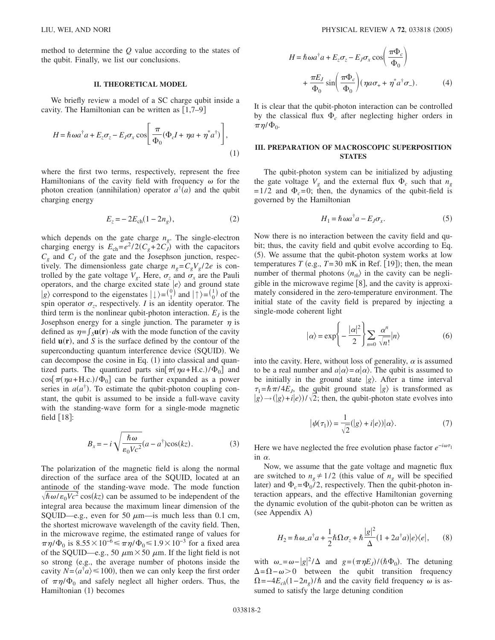method to determine the *Q* value according to the states of the qubit. Finally, we list our conclusions.

#### **II. THEORETICAL MODEL**

We briefly review a model of a SC charge qubit inside a cavity. The Hamiltonian can be written as  $[1,7–9]$ 

$$
H = \hbar \omega a^{\dagger} a + E_z \sigma_z - E_J \sigma_x \cos \left[ \frac{\pi}{\Phi_0} (\Phi_c I + \eta a + \eta^* a^{\dagger}) \right],
$$
\n(1)

where the first two terms, respectively, represent the free Hamiltonians of the cavity field with frequency  $\omega$  for the photon creation (annihilation) operator  $a^{\dagger}(a)$  and the qubit charging energy

$$
E_z = -2E_{ch}(1 - 2n_g),
$$
 (2)

which depends on the gate charge  $n<sub>g</sub>$ . The single-electron charging energy is  $E_{ch} = e^2 / 2(C_g + 2C_J)$  with the capacitors  $C_g$  and  $C_J$  of the gate and the Josephson junction, respectively. The dimensionless gate charge  $n_e = C_g V_g / 2e$  is controlled by the gate voltage  $V_g$ . Here,  $\sigma_z$  and  $\sigma_x$  are the Pauli operators, and the charge excited state  $|e\rangle$  and ground state  $|g\rangle$  correspond to the eigenstates  $|\downarrow\rangle = \begin{pmatrix} 0 \\ 1 \end{pmatrix}$  and  $|\uparrow\rangle = \begin{pmatrix} 1 \\ 0 \end{pmatrix}$  of the spin operator  $\sigma_z$ , respectively. *I* is an identity operator. The third term is the nonlinear qubit-photon interaction.  $E_I$  is the Josephson energy for a single junction. The parameter  $\eta$  is defined as  $\eta = \int_S \mathbf{u}(\mathbf{r}) \cdot d\mathbf{s}$  with the mode function of the cavity field  $\mathbf{u}(\mathbf{r})$ , and *S* is the surface defined by the contour of the superconducting quantum interference device (SQUID). We can decompose the cosine in Eq.  $(1)$  into classical and quantized parts. The quantized parts  $\sin[\pi(\eta a + H.c.)/\Phi_0]$  and  $cos[\pi(\eta a + H.c.)/\Phi_0]$  can be further expanded as a power series in  $a(a^{\dagger})$ . To estimate the qubit-photon coupling constant, the qubit is assumed to be inside a full-wave cavity with the standing-wave form for a single-mode magnetic field  $[18]$ :

$$
B_x = -i\sqrt{\frac{\hbar\omega}{\varepsilon_0 V c^2}}(a - a^{\dagger})\cos(kz). \tag{3}
$$

The polarization of the magnetic field is along the normal direction of the surface area of the SQUID, located at an antinode of the standing-wave mode. The mode function  $\sqrt{\hbar \omega/\varepsilon_0 Vc^2}$  cos(kz) can be assumed to be independent of the integral area because the maximum linear dimension of the SQUID—e.g., even for 50  $\mu$ m—is much less than 0.1 cm, the shortest microwave wavelength of the cavity field. Then, in the microwave regime, the estimated range of values for  $\pi \eta/\Phi_0$  is  $8.55 \times 10^{-6} \leq \pi \eta/\Phi_0 \leq 1.9 \times 10^{-3}$  for a fixed area of the SQUID—e.g., 50  $\mu$ m × 50  $\mu$ m. If the light field is not so strong (e.g., the average number of photons inside the cavity  $N = \langle a^{\dagger} a \rangle \leq 100$ , then we can only keep the first order of  $\pi \eta/\Phi_0$  and safely neglect all higher orders. Thus, the Hamiltonian (1) becomes

$$
H = \hbar \omega a^{\dagger} a + E_z \sigma_z - E_J \sigma_x \cos\left(\frac{\pi \Phi_c}{\Phi_0}\right)
$$

$$
+ \frac{\pi E_J}{\Phi_0} \sin\left(\frac{\pi \Phi_c}{\Phi_0}\right) (\eta a \sigma_+ + \eta^* a^{\dagger} \sigma_-). \tag{4}
$$

It is clear that the qubit-photon interaction can be controlled by the classical flux  $\Phi_c$  after neglecting higher orders in  $\pi\eta/\Phi_0$ .

# **III. PREPARATION OF MACROSCOPIC SUPERPOSITION STATES**

The qubit-photon system can be initialized by adjusting the gate voltage  $V_g$  and the external flux  $\Phi_c$  such that  $n_g$  $= 1/2$  and  $\Phi_c = 0$ ; then, the dynamics of the qubit-field is governed by the Hamiltonian

$$
H_1 = \hbar \omega a^{\dagger} a - E_J \sigma_x. \tag{5}
$$

Now there is no interaction between the cavity field and qubit; thus, the cavity field and qubit evolve according to Eq. (5). We assume that the qubit-photon system works at low temperatures  $T$  (e.g.,  $T = 30$  mK in Ref. [19]); then, the mean number of thermal photons  $\langle n_{th} \rangle$  in the cavity can be negligible in the microwave regime  $[8]$ , and the cavity is approximately considered in the zero-temperature environment. The initial state of the cavity field is prepared by injecting a single-mode coherent light

$$
|\alpha\rangle = \exp\left\{-\frac{|\alpha|^2}{2}\right\} \sum_{n=0}^{\infty} \frac{\alpha^n}{\sqrt{n!}} |n\rangle \tag{6}
$$

into the cavity. Here, without loss of generality,  $\alpha$  is assumed to be a real number and  $a|\alpha\rangle = \alpha|\alpha\rangle$ . The qubit is assumed to be initially in the ground state  $|g\rangle$ . After a time interval  $\tau_1 = \hbar \pi/4E_J$ , the qubit ground state  $|g\rangle$  is transformed as  $g(x) \rightarrow (g) + i(e)/\sqrt{2}$ ; then, the qubit-photon state evolves into

$$
|\psi(\tau_1)\rangle = \frac{1}{\sqrt{2}}(|g\rangle + i|e\rangle)|\alpha\rangle.
$$
 (7)

Here we have neglected the free evolution phase factor  $e^{-i\omega\tau_1}$ in  $\alpha$ .

Now, we assume that the gate voltage and magnetic flux are switched to  $n_g \neq 1/2$  (this value of  $n_g$  will be specified later) and  $\Phi_c = \Phi_0 / 2$ , respectively. Then the qubit-photon interaction appears, and the effective Hamiltonian governing the dynamic evolution of the qubit-photon can be written as (see Appendix A)

$$
H_2 = \hbar \omega_- a^{\dagger} a + \frac{1}{2} \hbar \Omega \sigma_z + \hbar \frac{|g|^2}{\Delta} (1 + 2a^{\dagger} a) |e\rangle\langle e|, \qquad (8)
$$

with  $\omega_{-} = \omega - |g|^2 / \Delta$  and  $g = (\pi \eta E_J) / (\hbar \Phi_0)$ . The detuning  $\Delta=\Omega-\omega>0$  between the qubit transition frequency  $\Omega = -4E_{ch}(1-2n_g)/\hbar$  and the cavity field frequency  $\omega$  is assumed to satisfy the large detuning condition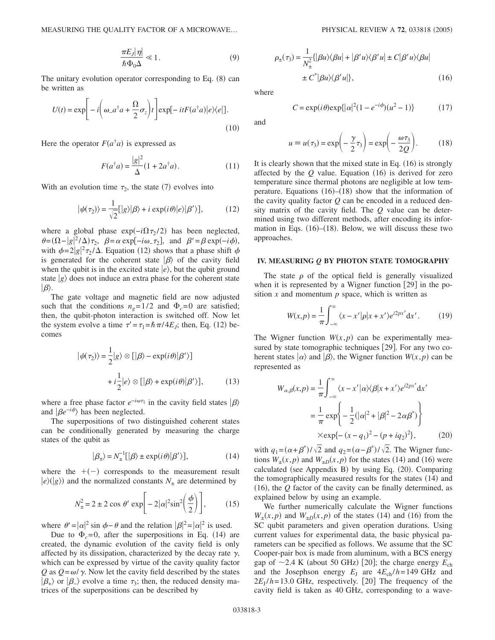$$
\frac{\pi E_J |\eta|}{\hbar \Phi_0 \Delta} \ll 1. \tag{9}
$$

The unitary evolution operator corresponding to Eq. (8) can be written as

$$
U(t) = \exp\left[-i\left(\omega_a a^\dagger a + \frac{\Omega}{2}\sigma_z\right)t\right] \exp[-itF(a^\dagger a)|e\rangle\langle e|].
$$
\n(10)

Here the operator  $F(a^{\dagger}a)$  is expressed as

$$
F(a^{\dagger}a) = \frac{|g|^2}{\Delta}(1 + 2a^{\dagger}a). \tag{11}
$$

With an evolution time  $\tau_2$ , the state (7) evolves into

$$
|\psi(\tau_2)\rangle = \frac{1}{\sqrt{2}}[|g\rangle|\beta\rangle + i \exp(i\theta)|e\rangle|\beta'\rangle],\tag{12}
$$

where a global phase  $exp(-i\Omega \tau_2/2)$  has been neglected,  $\theta = (\Omega - |g|^2 / \Delta) \tau_2$ ,  $\beta = \alpha \exp[-i\omega_-\tau_2]$ , and  $\beta' = \beta \exp(-i\phi)$ , with  $\phi = 2|g|^2 \tau_2 / \Delta$ . Equation (12) shows that a phase shift  $\phi$ is generated for the coherent state  $|\beta\rangle$  of the cavity field when the qubit is in the excited state  $|e\rangle$ , but the qubit ground state  $|g\rangle$  does not induce an extra phase for the coherent state  $|\beta\rangle$ .

The gate voltage and magnetic field are now adjusted such that the conditions  $n_e = 1/2$  and  $\Phi_c = 0$  are satisfied; then, the qubit-photon interaction is switched off. Now let the system evolve a time  $\tau' = \tau_1 = \hbar \pi / 4E_J$ ; then, Eq. (12) becomes

$$
|\psi(\tau_2)\rangle = \frac{1}{2}|g\rangle \otimes [|\beta\rangle - \exp(i\theta)|\beta'\rangle]
$$

$$
+ i\frac{1}{2}|e\rangle \otimes [|\beta\rangle + \exp(i\theta)|\beta'\rangle], \qquad (13)
$$

where a free phase factor  $e^{-i\omega\tau_1}$  in the cavity field states  $|\beta\rangle$ and  $\left|\beta e^{-i\phi}\right\rangle$  has been neglected.

The superpositions of two distinguished coherent states can be conditionally generated by measuring the charge states of the qubit as

$$
|\beta_{\pm}\rangle = N_{\pm}^{-1} [|\beta\rangle \pm \exp(i\theta)|\beta'\rangle], \qquad (14)
$$

where the  $+(-)$  corresponds to the measurement result  $|e\rangle(|g\rangle)$  and the normalized constants  $N_{\pm}$  are determined by

$$
N_{\pm}^{2} = 2 \pm 2 \cos \theta' \exp\left[-2|\alpha|^{2} \sin^{2}\left(\frac{\phi}{2}\right)\right],
$$
 (15)

where  $\theta' = |\alpha|^2 \sin \phi - \theta$  and the relation  $|\beta|^2 = |\alpha|^2$  is used.

Due to  $\Phi_c = 0$ , after the superpositions in Eq. (14) are created, the dynamic evolution of the cavity field is only affected by its dissipation, characterized by the decay rate  $\gamma$ , which can be expressed by virtue of the cavity quality factor *Q* as  $Q = \omega / \gamma$ . Now let the cavity field described by the states  $|\beta_{+}\rangle$  or  $|\beta_{-}\rangle$  evolve a time  $\tau_3$ ; then, the reduced density matrices of the superpositions can be described by

$$
\rho_{\pm}(\tau_3) = \frac{1}{N_{\pm}^2} \{ |\beta u \rangle \langle \beta u| + |\beta' u \rangle \langle \beta' u| \pm C |\beta' u \rangle \langle \beta u|
$$
  

$$
\pm C^* |\beta u \rangle \langle \beta' u| \}, \qquad (16)
$$

where

$$
C = \exp(i\theta) \exp{\{|\alpha|^2 (1 - e^{-i\phi})(u^2 - 1)}\}
$$
 (17)

and

$$
u \equiv u(\tau_3) = \exp\left(-\frac{\gamma}{2}\tau_3\right) = \exp\left(-\frac{\omega \tau_3}{2Q}\right). \tag{18}
$$

It is clearly shown that the mixed state in Eq. (16) is strongly affected by the  $Q$  value. Equation  $(16)$  is derived for zero temperature since thermal photons are negligible at low temperature. Equations  $(16)$ – $(18)$  show that the information of the cavity quality factor *Q* can be encoded in a reduced density matrix of the cavity field. The *Q* value can be determined using two different methods, after encoding its information in Eqs.  $(16)$ – $(18)$ . Below, we will discuss these two approaches.

### **IV. MEASURING** *Q* **BY PHOTON STATE TOMOGRAPHY**

The state  $\rho$  of the optical field is generally visualized when it is represented by a Wigner function  $[29]$  in the position  $x$  and momentum  $p$  space, which is written as

$$
W(x,p) = \frac{1}{\pi} \int_{-\infty}^{\infty} \langle x - x' | \rho | x + x' \rangle e^{i2px'} dx'.
$$
 (19)

The Wigner function  $W(x, p)$  can be experimentally measured by state tomographic techniques [29]. For any two coherent states  $|\alpha\rangle$  and  $|\beta\rangle$ , the Wigner function  $W(x,p)$  can be represented as

$$
W_{\alpha,\beta}(x,p) = \frac{1}{\pi} \int_{-\infty}^{\infty} \langle x - x' | \alpha \rangle \langle \beta | x + x' \rangle e^{i2px'} dx'
$$

$$
= \frac{1}{\pi} \exp \left\{ -\frac{1}{2} (|\alpha|^2 + |\beta|^2 - 2\alpha \beta^*) \right\}
$$

$$
\times \exp \{ -(x - q_1)^2 - (p + iq_2)^2 \}, \tag{20}
$$

with  $q_1 = (\alpha + \beta^*)/\sqrt{2}$  and  $q_2 = (\alpha - \beta^*)/\sqrt{2}$ . The Wigner functions  $W_{\pm}(x, p)$  and  $W_{\pm D}(x, p)$  for the states (14) and (16) were calculated (see Appendix B) by using Eq. (20). Comparing the tomographically measured results for the states (14) and  $(16)$ , the  $Q$  factor of the cavity can be finally determined, as explained below by using an example.

We further numerically calculate the Wigner functions  $W_{\pm}(x,p)$  and  $W_{\pm D}(x,p)$  of the states (14) and (16) from the SC qubit parameters and given operation durations. Using current values for experimental data, the basic physical parameters can be specified as follows. We assume that the SC Cooper-pair box is made from aluminum, with a BCS energy gap of  $\sim$  2.4 K (about 50 GHz) [20]; the charge energy  $E_{ch}$ and the Josephson energy  $E_J$  are  $4E_{ch}/h=149$  GHz and  $2E_J/h = 13.0$  GHz, respectively. [20] The frequency of the cavity field is taken as 40 GHz, corresponding to a wave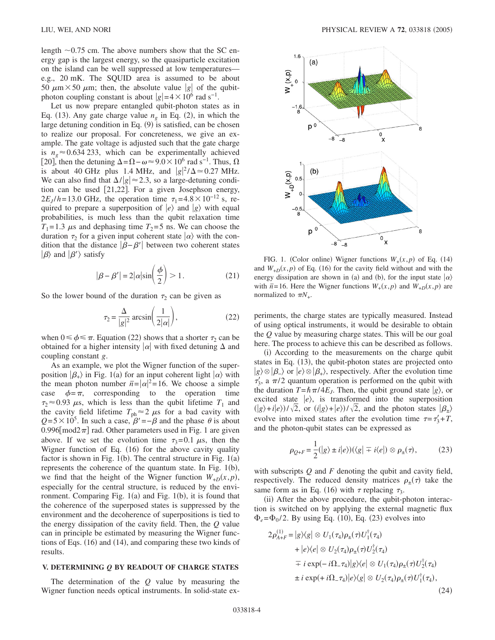length  $\sim 0.75$  cm. The above numbers show that the SC energy gap is the largest energy, so the quasiparticle excitation on the island can be well suppressed at low temperatures e.g., 20 mK. The SQUID area is assumed to be about 50  $\mu$ m × 50  $\mu$ m; then, the absolute value |g| of the qubitphoton coupling constant is about  $|g|=4\times 10^6$  rad s<sup>-1</sup>.

Let us now prepare entangled qubit-photon states as in Eq. (13). Any gate charge value  $n<sub>g</sub>$  in Eq. (2), in which the large detuning condition in Eq. (9) is satisfied, can be chosen to realize our proposal. For concreteness, we give an example. The gate voltage is adjusted such that the gate charge is  $n_e \approx 0.634 233$ , which can be experimentally achieved [20], then the detuning  $\Delta = \Omega - \omega \approx 9.0 \times 10^6$  rad s<sup>-1</sup>. Thus,  $\Omega$ is about 40 GHz plus 1.4 MHz, and  $|g|^2/\Delta \approx 0.27$  MHz. We can also find that  $\Delta/|g| \approx 2.3$ , so a large-detuning condition can be used  $[21,22]$ . For a given Josephson energy,  $2E_J/h = 13.0$  GHz, the operation time  $\tau_1 = 4.8 \times 10^{-12}$  s, required to prepare a superposition of  $|e\rangle$  and  $|g\rangle$  with equal probabilities, is much less than the qubit relaxation time  $T_1 = 1.3 \mu s$  and dephasing time  $T_2 = 5$  ns. We can choose the duration  $\tau_2$  for a given input coherent state  $|\alpha\rangle$  with the condition that the distance  $\left|\beta - \beta'\right|$  between two coherent states  $|\beta\rangle$  and  $|\beta'\rangle$  satisfy

$$
|\beta - \beta'| = 2|\alpha|\sin\left(\frac{\phi}{2}\right) > 1.
$$
 (21)

So the lower bound of the duration  $\tau_2$  can be given as

$$
\tau_2 = \frac{\Delta}{|g|^2} \arcsin\left(\frac{1}{2|\alpha|}\right),\tag{22}
$$

when  $0 \le \phi \le \pi$ . Equation (22) shows that a shorter  $\tau_2$  can be obtained for a higher intensity  $|\alpha|$  with fixed detuning  $\Delta$  and coupling constant *g*.

As an example, we plot the Wigner function of the superposition  $|\beta_{+}\rangle$  in Fig. 1(a) for an input coherent light  $|\alpha\rangle$  with the mean photon number  $\bar{n} = |\alpha|^2 = 16$ . We choose a simple case  $\phi = \pi$ , corresponding to the operation time  $\tau_2 \approx 0.93 \mu s$ , which is less than the qubit lifetime  $T_1$  and the cavity field lifetime  $T_{\text{ph}} \approx 2 \mu s$  for a bad cavity with  $Q = 5 \times 10^5$ . In such a case,  $\beta' = -\beta$  and the phase  $\theta$  is about 0.996 $\lceil \text{mod} 2\pi \rceil$  rad. Other parameters used in Fig. 1 are given above. If we set the evolution time  $\tau_3 = 0.1 \mu s$ , then the Wigner function of Eq. (16) for the above cavity quality factor is shown in Fig.  $1(b)$ . The central structure in Fig.  $1(a)$ represents the coherence of the quantum state. In Fig.  $1(b)$ , we find that the height of the Wigner function  $W_{+D}(x, p)$ , especially for the central structure, is reduced by the environment. Comparing Fig. 1(a) and Fig. 1(b), it is found that the coherence of the superposed states is suppressed by the environment and the decoherence of superpositions is tied to the energy dissipation of the cavity field. Then, the *Q* value can in principle be estimated by measuring the Wigner functions of Eqs. (16) and (14), and comparing these two kinds of results.

#### **V. DETERMINING** *Q* **BY READOUT OF CHARGE STATES**

The determination of the *Q* value by measuring the Wigner function needs optical instruments. In solid-state ex-



FIG. 1. (Color online) Wigner functions  $W_+(x,p)$  of Eq. (14) and  $W_{+D}(x, p)$  of Eq. (16) for the cavity field without and with the energy dissipation are shown in (a) and (b), for the input state  $|\alpha\rangle$ with  $\bar{n}$ =16. Here the Wigner functions  $W_+(x, p)$  and  $W_{+D}(x, p)$  are normalized to  $\pi N_+$ .

periments, the charge states are typically measured. Instead of using optical instruments, it would be desirable to obtain the *Q* value by measuring charge states. This will be our goal here. The process to achieve this can be described as follows.

(i) According to the measurements on the charge qubit states in Eq. (13), the qubit-photon states are projected onto  $|g\rangle \otimes |\beta_{-}\rangle$  or  $|e\rangle \otimes |\beta_{+}\rangle$ , respectively. After the evolution time  $\tau'_3$ , a  $\pi/2$  quantum operation is performed on the qubit with the duration  $T = \hbar \pi/4E_J$ . Then, the qubit ground state  $|g\rangle$ , or excited state  $|e\rangle$ , is transformed into the superposition  $g(x) + i(e) / \sqrt{2}$ , or  $(i|g\rangle + e) / \sqrt{2}$ , and the photon states  $|\beta_{+}\rangle$ evolve into mixed states after the evolution time  $\tau = \tau'_3 + T$ , and the photon-qubit states can be expressed as

$$
\rho_{Q+F} = \frac{1}{2}(|g\rangle \pm i|e\rangle)(\langle g| \mp i\langle e|) \otimes \rho_{\pm}(\tau), \qquad (23)
$$

with subscripts *Q* and *F* denoting the qubit and cavity field, respectively. The reduced density matrices  $\rho_{\pm}(\tau)$  take the same form as in Eq. (16) with  $\tau$  replacing  $\tau_3$ .

(ii) After the above procedure, the qubit-photon interaction is switched on by applying the external magnetic flux  $\Phi_e = \Phi_0 / 2$ . By using Eq. (10), Eq. (23) evolves into

$$
2\rho_{A+F}^{(1)} = |g\rangle\langle g| \otimes U_1(\tau_4)\rho_{\pm}(\tau)U_1^{\dagger}(\tau_4)
$$
  
+  $|e\rangle\langle e| \otimes U_2(\tau_4)\rho_{\pm}(\tau)U_2^{\dagger}(\tau_4)$   
=  $i \exp(-i\Omega_{-\tau_4})|g\rangle\langle e| \otimes U_1(\tau_4)\rho_{\pm}(\tau)U_2^{\dagger}(\tau_4)$   
 $\pm i \exp(+i\Omega_{-\tau_4})|e\rangle\langle g| \otimes U_2(\tau_4)\rho_{\pm}(\tau)U_1^{\dagger}(\tau_4),$  (24)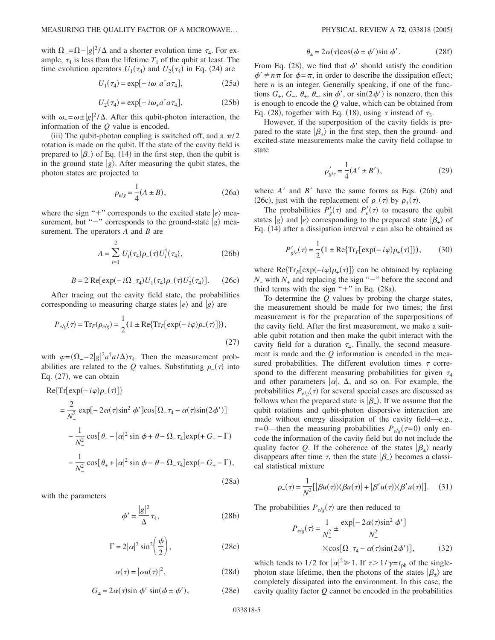with  $\Omega = \Omega - |g|^2 / \Delta$  and a shorter evolution time  $\tau_4$ . For example,  $\tau_4$  is less than the lifetime  $T_1$  of the qubit at least. The time evolution operators  $U_1(\tau_4)$  and  $U_2(\tau_4)$  in Eq. (24) are

$$
U_1(\tau_4) = \exp[-i\omega_a{}^{\dagger} a \tau_4], \qquad (25a)
$$

$$
U_2(\tau_4) = \exp[-i\omega_+ a^\dagger a \tau_4],\tag{25b}
$$

with  $\omega_{\pm} = \omega \pm |g|^2 / \Delta$ . After this qubit-photon interaction, the information of the *Q* value is encoded.

(iii) The qubit-photon coupling is switched off, and a  $\pi/2$ rotation is made on the qubit. If the state of the cavity field is prepared to  $\ket{\beta}$  of Eq. (14) in the first step, then the qubit is in the ground state  $|g\rangle$ . After measuring the qubit states, the photon states are projected to

$$
\rho_{e/g} = \frac{1}{4}(A \pm B),
$$
\n(26a)

where the sign "+" corresponds to the excited state  $|e\rangle$  measurement, but " $-$ " corresponds to the ground-state  $|g\rangle$  measurement. The operators *A* and *B* are

$$
A = \sum_{i=1}^{2} U_i(\tau_4) \rho_{-}(\tau) U_i^{\dagger}(\tau_4), \qquad (26b)
$$

$$
B = 2 \text{ Re}[\exp(-i\Omega_{-}\tau_{4})U_{1}(\tau_{4})\rho_{-}(\tau)U_{2}^{\dagger}(\tau_{4})].
$$
 (26c)

After tracing out the cavity field state, the probabilities corresponding to measuring charge states  $|e\rangle$  and  $|g\rangle$  are

$$
P_{e/g}(\tau) = \text{Tr}_F(\rho_{e/g}) = \frac{1}{2} (1 \pm \text{Re}\{\text{Tr}_F[\exp(-i\varphi)\rho_{-}(\tau)]\}),
$$
\n(27)

with  $\varphi = (\Omega_2 - 2|g|^2 a^{\dagger} a/\Delta) \tau_4$ . Then the measurement probabilities are related to the *Q* values. Substituting  $\rho_-(\tau)$  into Eq. (27), we can obtain

$$
Re\{Tr[exp(-i\varphi)\rho_{-}(\tau)]\}
$$
  
\n
$$
= \frac{2}{N_{-}^{2}} exp[-2\alpha(\tau)sin^{2} \phi'] cos[\Omega_{-}\tau_{4} - \alpha(\tau)sin(2\phi')]
$$
  
\n
$$
- \frac{1}{N_{-}^{2}} cos[\theta_{-} - |\alpha|^{2} sin \phi + \theta - \Omega_{-}\tau_{4}] exp(+G_{-} - \Gamma)
$$
  
\n
$$
- \frac{1}{N_{-}^{2}} cos[\theta_{+} + |\alpha|^{2} sin \phi - \theta - \Omega_{-}\tau_{4}] exp(-G_{+} - \Gamma),
$$
\n(28a)

with the parameters

$$
\phi' = \frac{|g|^2}{\Delta} \tau_4,\tag{28b}
$$

$$
\Gamma = 2|\alpha|^2 \sin^2\left(\frac{\phi}{2}\right),\tag{28c}
$$

$$
\alpha(\tau) = |\alpha u(\tau)|^2, \tag{28d}
$$

$$
G_{\pm} = 2\alpha(\tau)\sin\phi'\sin(\phi \pm \phi'),\tag{28e}
$$

$$
\theta_{\pm} = 2\alpha(\tau)\cos(\phi \pm \phi')\sin\phi'.
$$
 (28f)

From Eq. (28), we find that  $\phi'$  should satisfy the condition  $\phi' \neq n\pi$  for  $\phi = \pi$ , in order to describe the dissipation effect; here *n* is an integer. Generally speaking, if one of the functions  $G_+$ ,  $G_-$ ,  $\theta_+$ ,  $\theta_-$ , sin  $\phi'$ , or  $\sin(2\phi')$  is nonzero, then this is enough to encode the *Q* value, which can be obtained from Eq. (28), together with Eq. (18), using  $\tau$  instead of  $\tau_3$ .

However, if the superposition of the cavity fields is prepared to the state  $|\beta_{+}\rangle$  in the first step, then the ground- and excited-state measurements make the cavity field collapse to state

$$
\rho'_{g/e} = \frac{1}{4} (A' \pm B'),\tag{29}
$$

where  $A'$  and  $B'$  have the same forms as Eqs. (26b) and (26c), just with the replacement of  $\rho_-(\tau)$  by  $\rho_+(\tau)$ .

The probabilities  $P'_g(\tau)$  and  $P'_e(\tau)$  to measure the qubit states  $|g\rangle$  and  $|e\rangle$  corresponding to the prepared state  $|\beta_{+}\rangle$  of Eq. (14) after a dissipation interval  $\tau$  can also be obtained as

$$
P'_{g/e}(\tau) = \frac{1}{2} (1 \pm \text{Re} \{ \text{Tr}_F[\text{exp}(-i\varphi)\rho_+(\tau)] \}), \quad (30)
$$

where  $\text{Re}\{\text{Tr}_F[\text{exp}(-i\varphi)\rho_+(\tau)]\}$  can be obtained by replacing  $N_$  with  $N_+$  and replacing the sign " $-$ " before the second and third terms with the sign " $+$ " in Eq. (28a).

To determine the *Q* values by probing the charge states, the measurement should be made for two times; the first measurement is for the preparation of the superpositions of the cavity field. After the first measurement, we make a suitable qubit rotation and then make the qubit interact with the cavity field for a duration  $\tau_4$ . Finally, the second measurement is made and the *Q* information is encoded in the measured probabilities. The different evolution times  $\tau$  correspond to the different measuring probabilities for given  $\tau_4$ and other parameters  $|\alpha|$ ,  $\Delta$ , and so on. For example, the probabilities  $P_{e/g}(\tau)$  for several special cases are discussed as follows when the prepared state is  $(\beta_{-})$ . If we assume that the qubit rotations and qubit-photon dispersive interaction are made without energy dissipation of the cavity field—e.g.,  $\tau = 0$ —then the measuring probabilities  $P_{e/g}(\tau = 0)$  only encode the information of the cavity field but do not include the quality factor *Q*. If the coherence of the states  $|\beta_{+}\rangle$  nearly disappears after time  $\tau$ , then the state  $|\beta_{-}\rangle$  becomes a classical statistical mixture

$$
\rho_{-}(\tau) = \frac{1}{N_{-}^{2}}[|\beta u(\tau)\rangle\langle\beta u(\tau)| + |\beta' u(\tau)\rangle\langle\beta' u(\tau)|]. \quad (31)
$$

The probabilities  $P_{e/g}(\tau)$  are then reduced to

$$
P_{e/g}(\tau) = \frac{1}{N_{-}^{2}} \pm \frac{\exp[-2\alpha(\tau)\sin^{2}\phi']}{N_{-}^{2}}
$$
  
×cos[ $\Omega_{-\tau_{4}} - \alpha(\tau)\sin(2\phi')$ ], (32)

which tends to 1/2 for  $|\alpha|^2 \gg 1$ . If  $\tau > 1/\gamma = t_{\text{ph}}$  of the singlephoton state lifetime, then the photons of the states  $|\beta_{+}\rangle$  are completely dissipated into the environment. In this case, the cavity quality factor *Q* cannot be encoded in the probabilities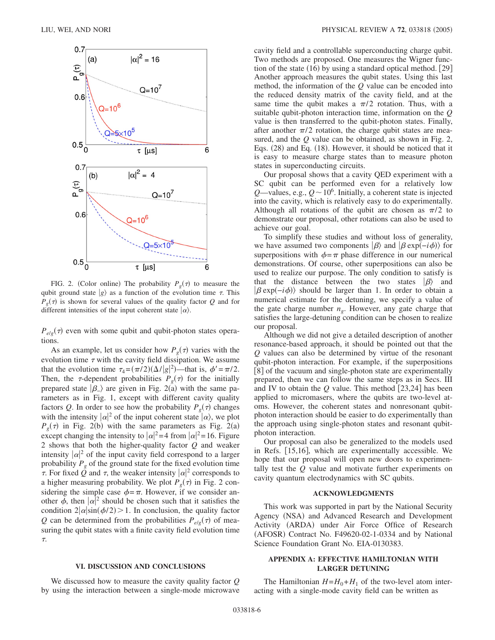

FIG. 2. (Color online) The probability  $P_g(\tau)$  to measure the qubit ground state  $|g\rangle$  as a function of the evolution time  $\tau$ . This  $P_g(\tau)$  is shown for several values of the quality factor *Q* and for different intensities of the input coherent state  $|\alpha\rangle$ .

 $P_{e/g}(\tau)$  even with some qubit and qubit-photon states operations.

As an example, let us consider how  $P_g(\tau)$  varies with the evolution time  $\tau$  with the cavity field dissipation. We assume that the evolution time  $\tau_4 = (\pi/2)(\Delta/|g|^2)$ —that is,  $\phi' = \pi/2$ . Then, the  $\tau$ -dependent probabilities  $P_g(\tau)$  for the initially prepared state  $|\beta_-\rangle$  are given in Fig. 2(a) with the same parameters as in Fig. 1, except with different cavity quality factors Q. In order to see how the probability  $P_g(\tau)$  changes with the intensity  $|\alpha|^2$  of the input coherent state  $|\alpha\rangle$ , we plot  $P_g(\tau)$  in Fig. 2(b) with the same parameters as Fig. 2(a) except changing the intensity to  $|\alpha|^2 = 4$  from  $|\alpha|^2 = 16$ . Figure 2 shows that both the higher-quality factor *Q* and weaker intensity  $|\alpha|^2$  of the input cavity field correspond to a larger probability  $P_{g}$  of the ground state for the fixed evolution time  $\tau$ . For fixed  $\tilde{Q}$  and  $\tau$ , the weaker intensity  $|\alpha|^2$  corresponds to a higher measuring probability. We plot  $P_g(\tau)$  in Fig. 2 considering the simple case  $\phi = \pi$ . However, if we consider another  $\phi$ , then  $|\alpha|^2$  should be chosen such that it satisfies the condition  $2|\alpha|\sin(\phi/2)$  > 1. In conclusion, the quality factor *Q* can be determined from the probabilities  $P_{e/g}(\tau)$  of measuring the qubit states with a finite cavity field evolution time  $\tau$ .

#### **VI. DISCUSSION AND CONCLUSIONS**

We discussed how to measure the cavity quality factor *Q* by using the interaction between a single-mode microwave cavity field and a controllable superconducting charge qubit. Two methods are proposed. One measures the Wigner function of the state  $(16)$  by using a standard optical method. [29] Another approach measures the qubit states. Using this last method, the information of the *Q* value can be encoded into the reduced density matrix of the cavity field, and at the same time the qubit makes a  $\pi/2$  rotation. Thus, with a suitable qubit-photon interaction time, information on the *Q* value is then transferred to the qubit-photon states. Finally, after another  $\pi/2$  rotation, the charge qubit states are measured, and the *Q* value can be obtained, as shown in Fig. 2, Eqs. (28) and Eq. (18). However, it should be noticed that it is easy to measure charge states than to measure photon states in superconducting circuits.

Our proposal shows that a cavity QED experiment with a SC qubit can be performed even for a relatively low  $Q$ —values, e.g.,  $Q \sim 10^6$ . Initially, a coherent state is injected into the cavity, which is relatively easy to do experimentally. Although all rotations of the qubit are chosen as  $\pi/2$  to demonstrate our proposal, other rotations can also be used to achieve our goal.

To simplify these studies and without loss of generality, we have assumed two components  $\ket{\beta}$  and  $\ket{\beta \exp(-i\phi)}$  for superpositions with  $\phi = \pi$  phase difference in our numerical demonstrations. Of course, other superpositions can also be used to realize our purpose. The only condition to satisfy is that the distance between the two states  $|\beta\rangle$  and  $\left|\beta \exp(-i\phi)\right\rangle$  should be larger than 1. In order to obtain a numerical estimate for the detuning, we specify a value of the gate charge number  $n<sub>o</sub>$ . However, any gate charge that satisfies the large-detuning condition can be chosen to realize our proposal.

Although we did not give a detailed description of another resonance-based approach, it should be pointed out that the *Q* values can also be determined by virtue of the resonant qubit-photon interaction. For example, if the superpositions [8] of the vacuum and single-photon state are experimentally prepared, then we can follow the same steps as in Secs. III and IV to obtain the  $Q$  value. This method  $[23,24]$  has been applied to micromasers, where the qubits are two-level atoms. However, the coherent states and nonresonant qubitphoton interaction should be easier to do experimentally than the approach using single-photon states and resonant qubitphoton interaction.

Our proposal can also be generalized to the models used in Refs. [15,16], which are experimentally accessible. We hope that our proposal will open new doors to experimentally test the *Q* value and motivate further experiments on cavity quantum electrodynamics with SC qubits.

### **ACKNOWLEDGMENTS**

This work was supported in part by the National Security Agency (NSA) and Advanced Research and Development Activity (ARDA) under Air Force Office of Research (AFOSR) Contract No. F49620-02-1-0334 and by National Science Foundation Grant No. EIA-0130383.

# **APPENDIX A: EFFECTIVE HAMILTONIAN WITH LARGER DETUNING**

The Hamiltonian  $H = H_0 + H_1$  of the two-level atom interacting with a single-mode cavity field can be written as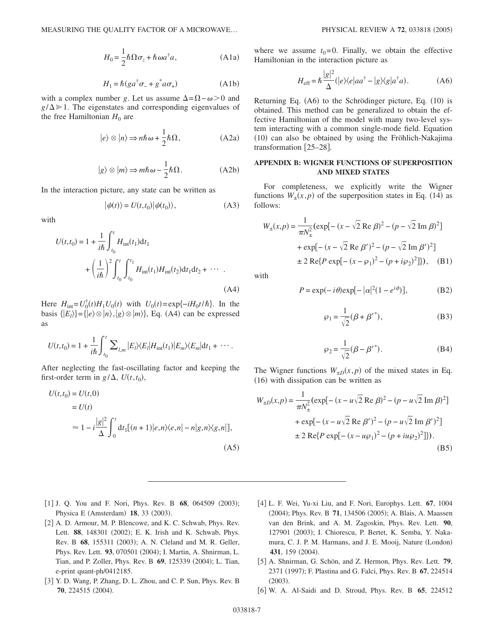$$
H_0 = \frac{1}{2} \hbar \Omega \sigma_z + \hbar \omega a^\dagger a, \qquad (A1a)
$$

$$
H_1 = \hbar (g a^{\dagger} \sigma_- + g^* a \sigma_+)
$$
 (A1b)

with a complex number *g*. Let us assume  $\Delta = \Omega - \omega > 0$  and  $g/\Delta \gg 1$ . The eigenstates and corresponding eigenvalues of the free Hamiltonian  $H_0$  are

$$
|e\rangle \otimes |n\rangle \Rightarrow n\hbar\omega + \frac{1}{2}\hbar\Omega, \qquad (A2a)
$$

$$
|g\rangle \otimes |m\rangle \Rightarrow m\hbar \omega - \frac{1}{2}\hbar \Omega. \tag{A2b}
$$

In the interaction picture, any state can be written as

$$
|\psi(t)\rangle = U(t, t_0)|\psi(t_0)\rangle, \tag{A3}
$$

with

$$
U(t,t_0) = 1 + \frac{1}{i\hbar} \int_{t_0}^t H_{int}(t_1) dt_1
$$
  
+ 
$$
\left(\frac{1}{i\hbar}\right)^2 \int_{t_0}^t \int_{t_0}^{t_1} H_{int}(t_1) H_{int}(t_2) dt_1 dt_2 + \cdots
$$
 (A4)

Here  $H_{int} = U_0^{\dagger}(t)H_1U_0(t)$  with  $U_0(t) = \exp{-iH_0t/\hbar}$ . In the basis  $\{|E_l\rangle\} = \{|e\rangle \otimes |n\rangle, |g\rangle \otimes |m\rangle\}$ , Eq. (A4) can be expressed as

$$
U(t,t_0) = 1 + \frac{1}{i\hbar} \int_{t_0}^t \sum_{l,m} |E_l\rangle\langle E_l|H_{int}(t_1)|E_m\rangle\langle E_m|dt_1 + \cdots.
$$

After neglecting the fast-oscillating factor and keeping the first-order term in  $g/\Delta$ ,  $U(t, t_0)$ ,

$$
U(t,t_0) = U(t,0)
$$
  
=  $U(t)$   

$$
\approx 1 - i \frac{|g|^2}{\Delta} \int_0^t dt_1 [(n+1)|e,n\rangle\langle e,n| - n|g,n\rangle\langle g,n|],
$$
  
(A5)

where we assume  $t_0 = 0$ . Finally, we obtain the effective Hamiltonian in the interaction picture as

$$
H_{\text{eff}} = \hbar \frac{|g|^2}{\Delta} (|e\rangle\langle e|aa^\dagger - |g\rangle\langle g|a^\dagger a). \tag{A6}
$$

Returning Eq. (A6) to the Schrödinger picture, Eq. (10) is obtained. This method can be generalized to obtain the effective Hamiltonian of the model with many two-level system interacting with a common single-mode field. Equation (10) can also be obtained by using the Fröhlich-Nakajima transformation [25-28].

## **APPENDIX B: WIGNER FUNCTIONS OF SUPERPOSITION AND MIXED STATES**

For completeness, we explicitly write the Wigner functions  $W_*(x, p)$  of the superposition states in Eq. (14) as follows:

$$
W_{\pm}(x,p) = \frac{1}{\pi N_{\pm}^{2}} (\exp[-(x - \sqrt{2} \text{ Re } \beta)^{2} - (p - \sqrt{2} \text{ Im } \beta)^{2}]
$$
  
+  $\exp[-(x - \sqrt{2} \text{ Re } \beta')^{2} - (p - \sqrt{2} \text{ Im } \beta')^{2}]$   
 $\pm 2 \text{ Re} \{ P \exp[-(x - \wp_{1})^{2} - (p + i\wp_{2})^{2}] \}\},$  (B1)

with

$$
P = \exp(-i\theta)\exp[-|\alpha|^2(1 - e^{i\phi})],
$$
 (B2)

$$
\wp_1 = \frac{1}{\sqrt{2}} (\beta + {\beta'}^*), \tag{B3}
$$

$$
\wp_2 = \frac{1}{\sqrt{2}} (\beta - {\beta'}^*).
$$
 (B4)

The Wigner functions  $W_{\pm D}(x,p)$  of the mixed states in Eq. (16) with dissipation can be written as

$$
W_{\pm D}(x, p) = \frac{1}{\pi N_{\pm}^{2}} (\exp[-(x - u\sqrt{2} \text{ Re } \beta)^{2} - (p - u\sqrt{2} \text{ Im } \beta)^{2}]
$$
  
+  $\exp[-(x - u\sqrt{2} \text{ Re } \beta')^{2} - (p - u\sqrt{2} \text{ Im } \beta')^{2}]$   
 $\pm 2 \text{ Re}\{P \exp[-(x - u\wp_{1})^{2} - (p + i u\wp_{2})^{2}]\}).$  (B5)

- [1] J. Q. You and F. Nori, Phys. Rev. B 68, 064509 (2003); Physica E (Amsterdam) 18, 33 (2003).
- [2] A. D. Armour, M. P. Blencowe, and K. C. Schwab, Phys. Rev. Lett. 88, 148301 (2002); E. K. Irish and K. Schwab, Phys. Rev. B 68, 155311 (2003); A. N. Cleland and M. R. Geller, Phys. Rev. Lett. 93, 070501 (2004); I. Martin, A. Shnirman, L. Tian, and P. Zoller, Phys. Rev. B 69, 125339 (2004); L. Tian, e-print quant-ph/0412185.
- [3] Y. D. Wang, P. Zhang, D. L. Zhou, and C. P. Sun, Phys. Rev. B 70, 224515 (2004).
- 4 L. F. Wei, Yu-xi Liu, and F. Nori, Europhys. Lett. **67**, 1004 (2004); Phys. Rev. B 71, 134506 (2005); A. Blais, A. Maassen van den Brink, and A. M. Zagoskin, Phys. Rev. Lett. **90**, 127901 (2003); I. Chiorescu, P. Bertet, K. Semba, Y. Nakamura, C. J. P. M. Harmans, and J. E. Mooij, Nature (London) 431, 159 (2004).
- [5] A. Shnirman, G. Schön, and Z. Hermon, Phys. Rev. Lett. 79, 2371 (1997); F. Plastina and G. Falci, Phys. Rev. B 67, 224514  $(2003).$
- 6 W. A. Al-Saidi and D. Stroud, Phys. Rev. B **65**, 224512